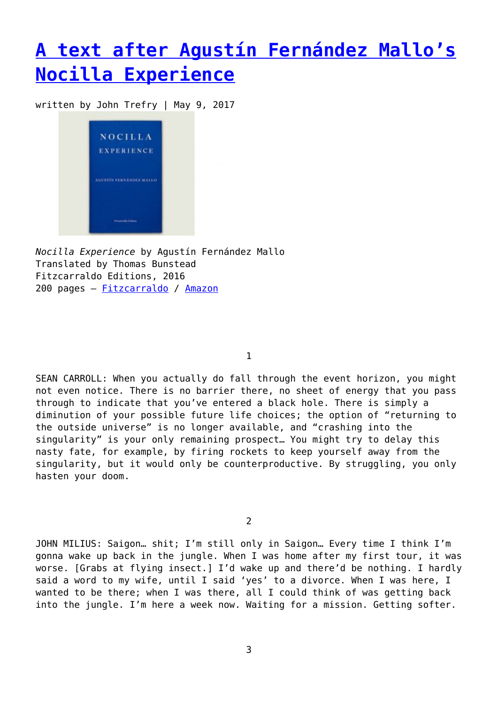## **[A text after Agustín Fernández Mallo's](https://entropymag.org/a-text-after-agustin-fernandez-mallos-nocilla-experience/) [Nocilla Experience](https://entropymag.org/a-text-after-agustin-fernandez-mallos-nocilla-experience/)**

written by John Trefry | May 9, 2017



*Nocilla Experience* by Agustín Fernández Mallo Translated by Thomas Bunstead Fitzcarraldo Editions, 2016 200 pages – [Fitzcarraldo](https://fitzcarraldoeditions.com/books/nocilla-experience) / [Amazon](https://www.amazon.com/Nocilla-Experience-Agustin-Fernandez-Mallo/dp/1910695254/ref=sr_1_1?ie=UTF8&qid=1493090342&sr=8-1&keywords=nocilla+experience)

1

SEAN CARROLL: When you actually do fall through the event horizon, you might not even notice. There is no barrier there, no sheet of energy that you pass through to indicate that you've entered a black hole. There is simply a diminution of your possible future life choices; the option of "returning to the outside universe" is no longer available, and "crashing into the singularity" is your only remaining prospect… You might try to delay this nasty fate, for example, by firing rockets to keep yourself away from the singularity, but it would only be counterproductive. By struggling, you only hasten your doom.

2

JOHN MILIUS: Saigon… shit; I'm still only in Saigon… Every time I think I'm gonna wake up back in the jungle. When I was home after my first tour, it was worse. [Grabs at flying insect.] I'd wake up and there'd be nothing. I hardly said a word to my wife, until I said 'yes' to a divorce. When I was here, I wanted to be there; when I was there, all I could think of was getting back into the jungle. I'm here a week now. Waiting for a mission. Getting softer.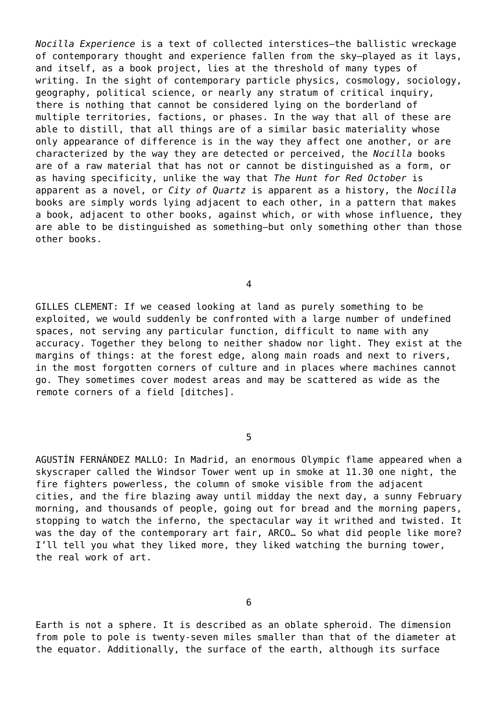*Nocilla Experience* is a text of collected interstices—the ballistic wreckage of contemporary thought and experience fallen from the sky—played as it lays, and itself, as a book project, lies at the threshold of many types of writing. In the sight of contemporary particle physics, cosmology, sociology, geography, political science, or nearly any stratum of critical inquiry, there is nothing that cannot be considered lying on the borderland of multiple territories, factions, or phases. In the way that all of these are able to distill, that all things are of a similar basic materiality whose only appearance of difference is in the way they affect one another, or are characterized by the way they are detected or perceived, the *Nocilla* books are of a raw material that has not or cannot be distinguished as a form, or as having specificity, unlike the way that *The Hunt for Red October* is apparent as a novel, or *City of Quartz* is apparent as a history, the *Nocilla* books are simply words lying adjacent to each other, in a pattern that makes a book, adjacent to other books, against which, or with whose influence, they are able to be distinguished as something—but only something other than those other books.

4

GILLES CLEMENT: If we ceased looking at land as purely something to be exploited, we would suddenly be confronted with a large number of undefined spaces, not serving any particular function, difficult to name with any accuracy. Together they belong to neither shadow nor light. They exist at the margins of things: at the forest edge, along main roads and next to rivers, in the most forgotten corners of culture and in places where machines cannot go. They sometimes cover modest areas and may be scattered as wide as the remote corners of a field [ditches].

5

AGUSTÍN FERNÁNDEZ MALLO: In Madrid, an enormous Olympic flame appeared when a skyscraper called the Windsor Tower went up in smoke at 11.30 one night, the fire fighters powerless, the column of smoke visible from the adjacent cities, and the fire blazing away until midday the next day, a sunny February morning, and thousands of people, going out for bread and the morning papers, stopping to watch the inferno, the spectacular way it writhed and twisted. It was the day of the contemporary art fair, ARCO… So what did people like more? I'll tell you what they liked more, they liked watching the burning tower, the real work of art.

6

Earth is not a sphere. It is described as an oblate spheroid. The dimension from pole to pole is twenty-seven miles smaller than that of the diameter at the equator. Additionally, the surface of the earth, although its surface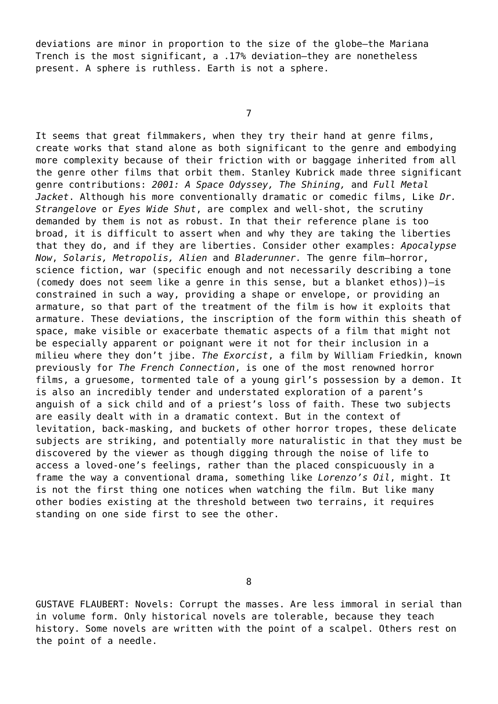deviations are minor in proportion to the size of the globe—the Mariana Trench is the most significant, a .17% deviation—they are nonetheless present. A sphere is ruthless. Earth is not a sphere.

7

It seems that great filmmakers, when they try their hand at genre films, create works that stand alone as both significant to the genre and embodying more complexity because of their friction with or baggage inherited from all the genre other films that orbit them. Stanley Kubrick made three significant genre contributions: *2001: A Space Odyssey, The Shining,* and *Full Metal Jacket*. Although his more conventionally dramatic or comedic films, Like *Dr. Strangelove* or *Eyes Wide Shut*, are complex and well-shot, the scrutiny demanded by them is not as robust. In that their reference plane is too broad, it is difficult to assert when and why they are taking the liberties that they do, and if they are liberties. Consider other examples: *Apocalypse Now*, *Solaris, Metropolis, Alien* and *Bladerunner.* The genre film—horror, science fiction, war (specific enough and not necessarily describing a tone (comedy does not seem like a genre in this sense, but a blanket ethos))—is constrained in such a way, providing a shape or envelope, or providing an armature, so that part of the treatment of the film is how it exploits that armature. These deviations, the inscription of the form within this sheath of space, make visible or exacerbate thematic aspects of a film that might not be especially apparent or poignant were it not for their inclusion in a milieu where they don't jibe. *The Exorcist*, a film by William Friedkin, known previously for *The French Connection*, is one of the most renowned horror films, a gruesome, tormented tale of a young girl's possession by a demon. It is also an incredibly tender and understated exploration of a parent's anguish of a sick child and of a priest's loss of faith. These two subjects are easily dealt with in a dramatic context. But in the context of levitation, back-masking, and buckets of other horror tropes, these delicate subjects are striking, and potentially more naturalistic in that they must be discovered by the viewer as though digging through the noise of life to access a loved-one's feelings, rather than the placed conspicuously in a frame the way a conventional drama, something like *Lorenzo's Oil*, might. It is not the first thing one notices when watching the film. But like many other bodies existing at the threshold between two terrains, it requires standing on one side first to see the other.

GUSTAVE FLAUBERT: Novels: Corrupt the masses. Are less immoral in serial than in volume form. Only historical novels are tolerable, because they teach history. Some novels are written with the point of a scalpel. Others rest on the point of a needle.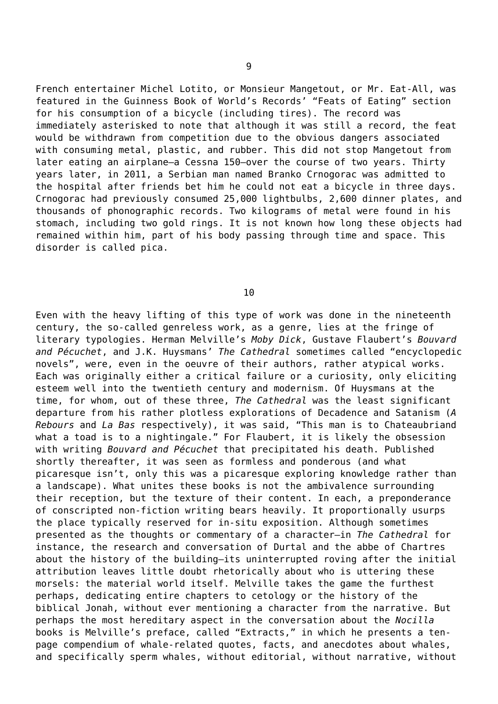French entertainer Michel Lotito, or Monsieur Mangetout, or Mr. Eat-All, was featured in the Guinness Book of World's Records' "Feats of Eating" section for his consumption of a bicycle (including tires). The record was immediately asterisked to note that although it was still a record, the feat would be withdrawn from competition due to the obvious dangers associated with consuming metal, plastic, and rubber. This did not stop Mangetout from later eating an airplane—a Cessna 150—over the course of two years. Thirty years later, in 2011, a Serbian man named Branko Crnogorac was admitted to the hospital after friends bet him he could not eat a bicycle in three days. Crnogorac had previously consumed 25,000 lightbulbs, 2,600 dinner plates, and thousands of phonographic records. Two kilograms of metal were found in his stomach, including two gold rings. It is not known how long these objects had remained within him, part of his body passing through time and space. This disorder is called pica.

10

Even with the heavy lifting of this type of work was done in the nineteenth century, the so-called genreless work, as a genre, lies at the fringe of literary typologies. Herman Melville's *Moby Dick*, Gustave Flaubert's *Bouvard and Pécuchet*, and J.K. Huysmans' *The Cathedral* sometimes called "encyclopedic novels", were, even in the oeuvre of their authors, rather atypical works. Each was originally either a critical failure or a curiosity, only eliciting esteem well into the twentieth century and modernism. Of Huysmans at the time, for whom, out of these three, *The Cathedral* was the least significant departure from his rather plotless explorations of Decadence and Satanism (*A Rebours* and *La Bas* respectively), it was said, "This man is to Chateaubriand what a toad is to a nightingale." For Flaubert, it is likely the obsession with writing *Bouvard and Pécuchet* that precipitated his death. Published shortly thereafter, it was seen as formless and ponderous (and what picaresque isn't, only this was a picaresque exploring knowledge rather than a landscape). What unites these books is not the ambivalence surrounding their reception, but the texture of their content. In each, a preponderance of conscripted non-fiction writing bears heavily. It proportionally usurps the place typically reserved for in-situ exposition. Although sometimes presented as the thoughts or commentary of a character—in *The Cathedral* for instance, the research and conversation of Durtal and the abbe of Chartres about the history of the building—its uninterrupted roving after the initial attribution leaves little doubt rhetorically about who is uttering these morsels: the material world itself. Melville takes the game the furthest perhaps, dedicating entire chapters to cetology or the history of the biblical Jonah, without ever mentioning a character from the narrative. But perhaps the most hereditary aspect in the conversation about the *Nocilla* books is Melville's preface, called "Extracts," in which he presents a tenpage compendium of whale-related quotes, facts, and anecdotes about whales, and specifically sperm whales, without editorial, without narrative, without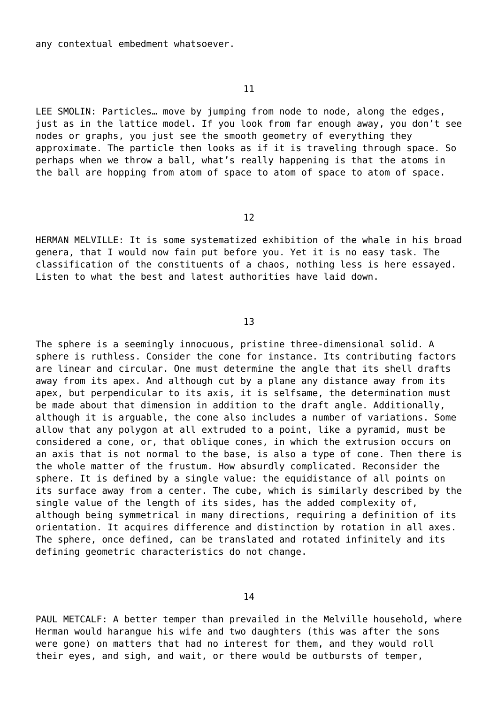any contextual embedment whatsoever.

11

LEE SMOLIN: Particles… move by jumping from node to node, along the edges, just as in the lattice model. If you look from far enough away, you don't see nodes or graphs, you just see the smooth geometry of everything they approximate. The particle then looks as if it is traveling through space. So perhaps when we throw a ball, what's really happening is that the atoms in the ball are hopping from atom of space to atom of space to atom of space.

12

HERMAN MELVILLE: It is some systematized exhibition of the whale in his broad genera, that I would now fain put before you. Yet it is no easy task. The classification of the constituents of a chaos, nothing less is here essayed. Listen to what the best and latest authorities have laid down.

13

The sphere is a seemingly innocuous, pristine three-dimensional solid. A sphere is ruthless. Consider the cone for instance. Its contributing factors are linear and circular. One must determine the angle that its shell drafts away from its apex. And although cut by a plane any distance away from its apex, but perpendicular to its axis, it is selfsame, the determination must be made about that dimension in addition to the draft angle. Additionally, although it is arguable, the cone also includes a number of variations. Some allow that any polygon at all extruded to a point, like a pyramid, must be considered a cone, or, that oblique cones, in which the extrusion occurs on an axis that is not normal to the base, is also a type of cone. Then there is the whole matter of the frustum. How absurdly complicated. Reconsider the sphere. It is defined by a single value: the equidistance of all points on its surface away from a center. The cube, which is similarly described by the single value of the length of its sides, has the added complexity of, although being symmetrical in many directions, requiring a definition of its orientation. It acquires difference and distinction by rotation in all axes. The sphere, once defined, can be translated and rotated infinitely and its defining geometric characteristics do not change.

PAUL METCALF: A better temper than prevailed in the Melville household, where Herman would harangue his wife and two daughters (this was after the sons were gone) on matters that had no interest for them, and they would roll their eyes, and sigh, and wait, or there would be outbursts of temper,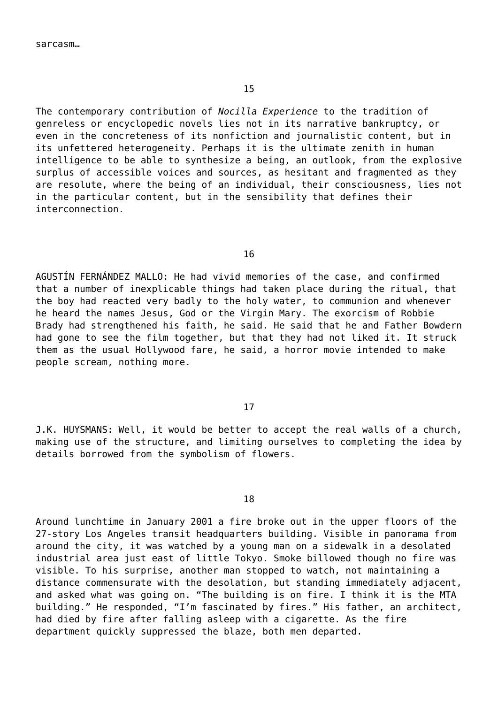The contemporary contribution of *Nocilla Experience* to the tradition of genreless or encyclopedic novels lies not in its narrative bankruptcy, or even in the concreteness of its nonfiction and journalistic content, but in its unfettered heterogeneity. Perhaps it is the ultimate zenith in human intelligence to be able to synthesize a being, an outlook, from the explosive surplus of accessible voices and sources, as hesitant and fragmented as they are resolute, where the being of an individual, their consciousness, lies not in the particular content, but in the sensibility that defines their interconnection.

## 16

AGUSTÍN FERNÁNDEZ MALLO: He had vivid memories of the case, and confirmed that a number of inexplicable things had taken place during the ritual, that the boy had reacted very badly to the holy water, to communion and whenever he heard the names Jesus, God or the Virgin Mary. The exorcism of Robbie Brady had strengthened his faith, he said. He said that he and Father Bowdern had gone to see the film together, but that they had not liked it. It struck them as the usual Hollywood fare, he said, a horror movie intended to make people scream, nothing more.

## 17

J.K. HUYSMANS: Well, it would be better to accept the real walls of a church, making use of the structure, and limiting ourselves to completing the idea by details borrowed from the symbolism of flowers.

18

Around lunchtime in January 2001 a fire broke out in the upper floors of the 27-story Los Angeles transit headquarters building. Visible in panorama from around the city, it was watched by a young man on a sidewalk in a desolated industrial area just east of little Tokyo. Smoke billowed though no fire was visible. To his surprise, another man stopped to watch, not maintaining a distance commensurate with the desolation, but standing immediately adjacent, and asked what was going on. "The building is on fire. I think it is the MTA building." He responded, "I'm fascinated by fires." His father, an architect, had died by fire after falling asleep with a cigarette. As the fire department quickly suppressed the blaze, both men departed.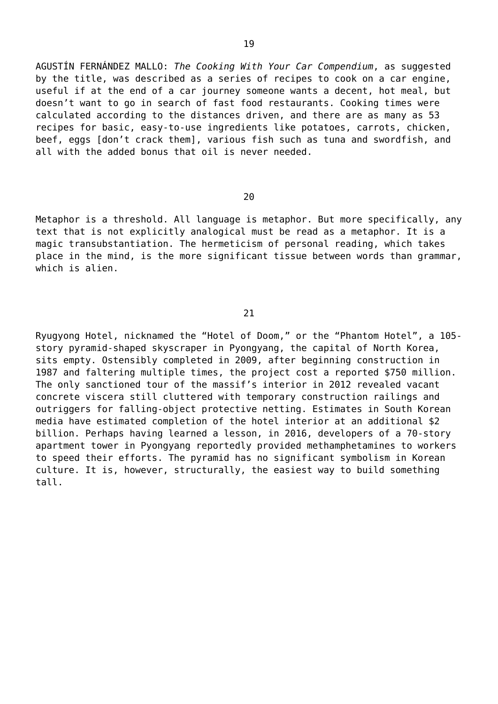AGUSTÍN FERNÁNDEZ MALLO: *The Cooking With Your Car Compendium*, as suggested by the title, was described as a series of recipes to cook on a car engine, useful if at the end of a car journey someone wants a decent, hot meal, but doesn't want to go in search of fast food restaurants. Cooking times were calculated according to the distances driven, and there are as many as 53 recipes for basic, easy-to-use ingredients like potatoes, carrots, chicken, beef, eggs [don't crack them], various fish such as tuna and swordfish, and all with the added bonus that oil is never needed.

20

Metaphor is a threshold. All language is metaphor. But more specifically, any text that is not explicitly analogical must be read as a metaphor. It is a magic transubstantiation. The hermeticism of personal reading, which takes place in the mind, is the more significant tissue between words than grammar, which is alien.

## 21

Ryugyong Hotel, nicknamed the "Hotel of Doom," or the "Phantom Hotel", a 105 story pyramid-shaped skyscraper in Pyongyang, the capital of North Korea, sits empty. Ostensibly completed in 2009, after beginning construction in 1987 and faltering multiple times, the project cost a reported \$750 million. The only sanctioned tour of the massif's interior in 2012 revealed vacant concrete viscera still cluttered with temporary construction railings and outriggers for falling-object protective netting. Estimates in South Korean media have estimated completion of the hotel interior at an additional \$2 billion. Perhaps having learned a lesson, in 2016, developers of a 70-story apartment tower in Pyongyang reportedly provided methamphetamines to workers to speed their efforts. The pyramid has no significant symbolism in Korean culture. It is, however, structurally, the easiest way to build something tall.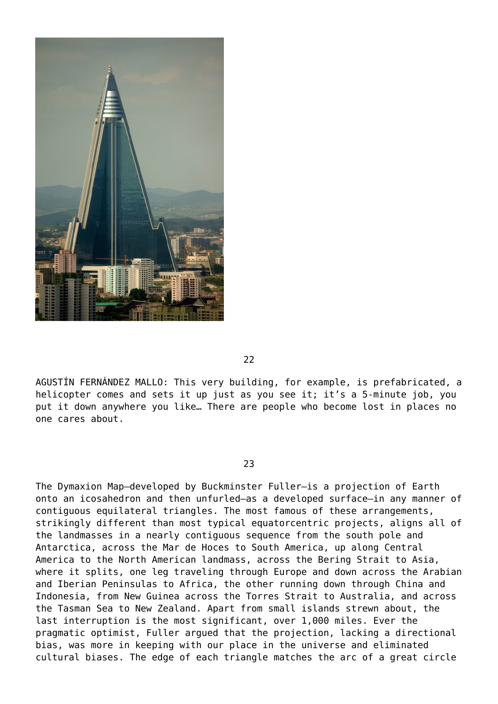

22

AGUSTÍN FERNÁNDEZ MALLO: This very building, for example, is prefabricated, a helicopter comes and sets it up just as you see it; it's a 5-minute job, you put it down anywhere you like… There are people who become lost in places no one cares about.

23

The Dymaxion Map—developed by Buckminster Fuller—is a projection of Earth onto an icosahedron and then unfurled—as a developed surface—in any manner of contiguous equilateral triangles. The most famous of these arrangements, strikingly different than most typical equatorcentric projects, aligns all of the landmasses in a nearly contiguous sequence from the south pole and Antarctica, across the Mar de Hoces to South America, up along Central America to the North American landmass, across the Bering Strait to Asia, where it splits, one leg traveling through Europe and down across the Arabian and Iberian Peninsulas to Africa, the other running down through China and Indonesia, from New Guinea across the Torres Strait to Australia, and across the Tasman Sea to New Zealand. Apart from small islands strewn about, the last interruption is the most significant, over 1,000 miles. Ever the pragmatic optimist, Fuller argued that the projection, lacking a directional bias, was more in keeping with our place in the universe and eliminated cultural biases. The edge of each triangle matches the arc of a great circle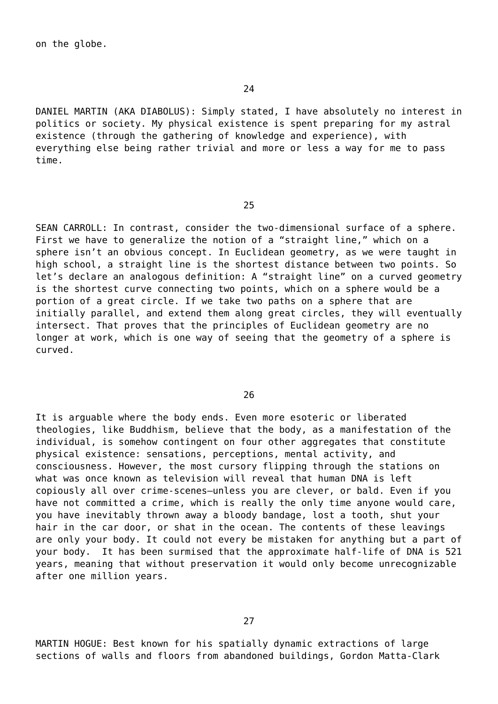DANIEL MARTIN (AKA DIABOLUS): Simply stated, I have absolutely no interest in politics or society. My physical existence is spent preparing for my astral existence (through the gathering of knowledge and experience), with everything else being rather trivial and more or less a way for me to pass time.

25

SEAN CARROLL: In contrast, consider the two-dimensional surface of a sphere. First we have to generalize the notion of a "straight line," which on a sphere isn't an obvious concept. In Euclidean geometry, as we were taught in high school, a straight line is the shortest distance between two points. So let's declare an analogous definition: A "straight line" on a curved geometry is the shortest curve connecting two points, which on a sphere would be a portion of a great circle. If we take two paths on a sphere that are initially parallel, and extend them along great circles, they will eventually intersect. That proves that the principles of Euclidean geometry are no longer at work, which is one way of seeing that the geometry of a sphere is curved.

26

It is arguable where the body ends. Even more esoteric or liberated theologies, like Buddhism, believe that the body, as a manifestation of the individual, is somehow contingent on four other aggregates that constitute physical existence: sensations, perceptions, mental activity, and consciousness. However, the most cursory flipping through the stations on what was once known as television will reveal that human DNA is left copiously all over crime-scenes—unless you are clever, or bald. Even if you have not committed a crime, which is really the only time anyone would care, you have inevitably thrown away a bloody bandage, lost a tooth, shut your hair in the car door, or shat in the ocean. The contents of these leavings are only your body. It could not every be mistaken for anything but a part of your body. It has been surmised that the approximate half-life of DNA is 521 years, meaning that without preservation it would only become unrecognizable after one million years.

MARTIN HOGUE: Best known for his spatially dynamic extractions of large sections of walls and floors from abandoned buildings, Gordon Matta-Clark